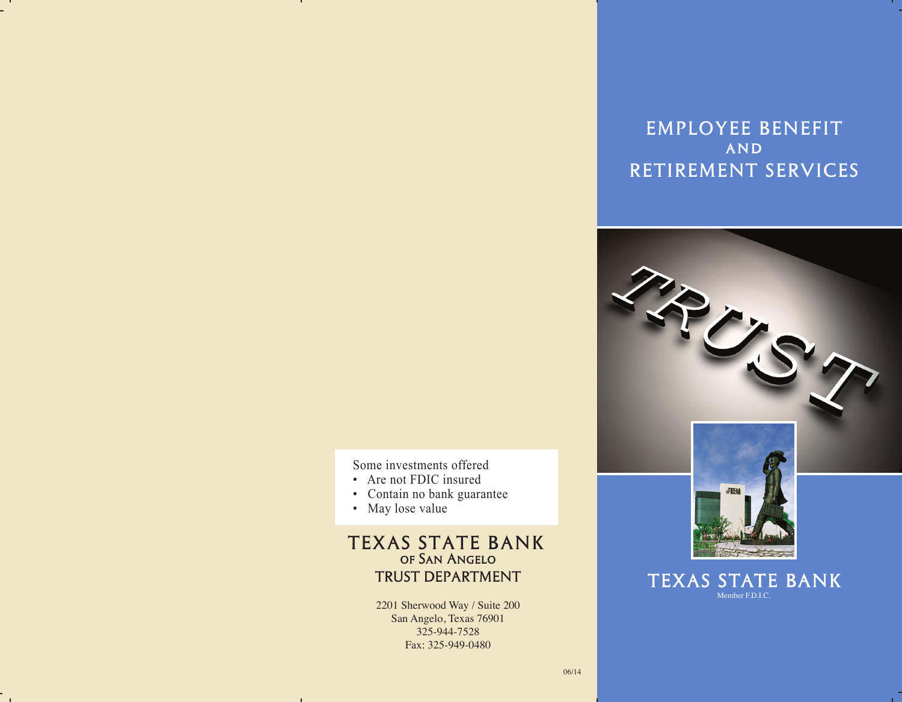# EMPLOYEE BENEFIT **AND** RETIREMENT SERVICES



Some investments offered

- Are not FDIC insured
- Contain no bank guarantee
- May lose value

 $\sim$ 

## TEXAS STATE BANK of San Angelo TRUST DEPARTMENT

2201 Sherwood Way / Suite 200 San Angelo, Texas 76901 325-944-7528 Fax: 325-949-0480